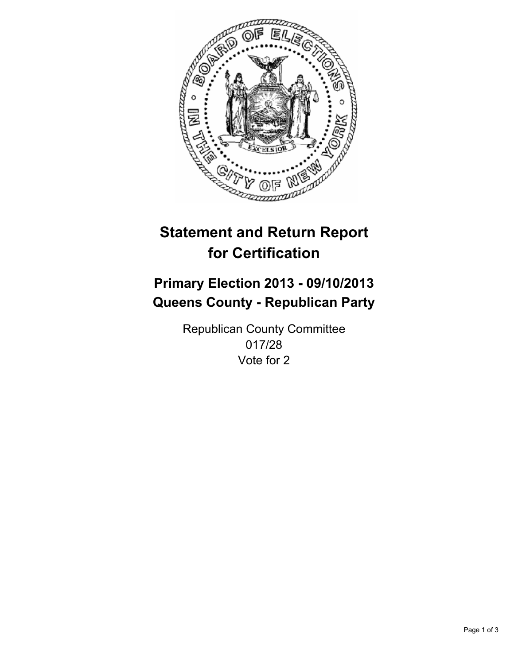

# **Statement and Return Report for Certification**

# **Primary Election 2013 - 09/10/2013 Queens County - Republican Party**

Republican County Committee 017/28 Vote for 2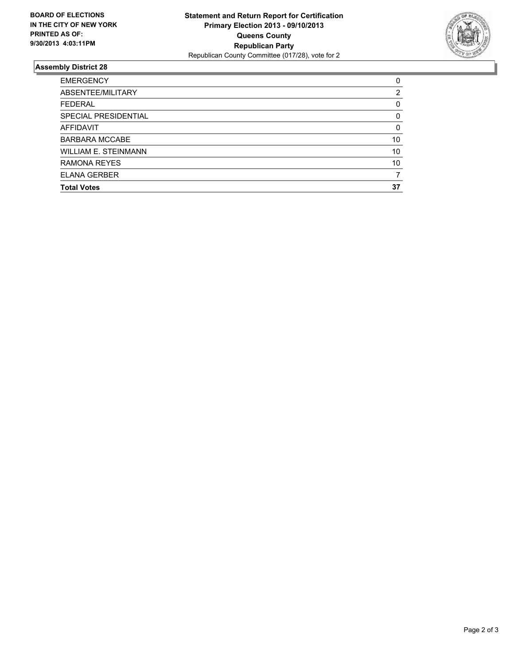

## **Assembly District 28**

| ABSENTEE/MILITARY<br><b>FEDERAL</b> | 2<br>0   |
|-------------------------------------|----------|
|                                     |          |
|                                     |          |
| SPECIAL PRESIDENTIAL                | 0        |
| <b>AFFIDAVIT</b>                    | $\Omega$ |
| <b>BARBARA MCCABE</b>               | 10       |
| <b>WILLIAM E. STEINMANN</b>         | 10       |
| <b>RAMONA REYES</b>                 | 10       |
| <b>ELANA GERBER</b>                 | 7        |
| <b>Total Votes</b>                  | 37       |